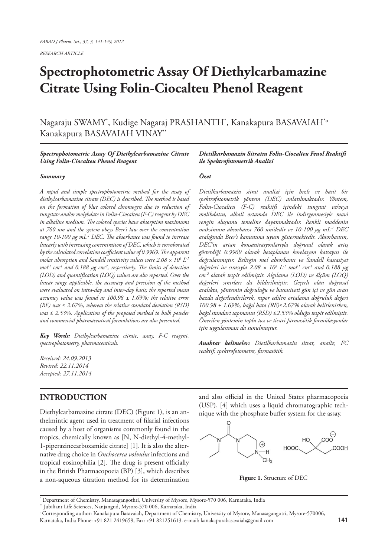*RESEARCH ARTICLE*

# **Spectrophotometric Assay Of Diethylcarbamazine Citrate Using Folin-Ciocalteu Phenol Reagent**

Nagaraju SWAMY\* , Kudige Nagaraj PRASHANTH\* , Kanakapura BASAVAIAH\*o Kanakapura BASAVAIAH VINAY\*\*

#### *Spectrophotometric Assay Of Diethylcarbamazine Citrate Using Folin-Ciocalteu Phenol Reagent*

#### *Summary*

*A rapid and simple spectrophotometric method for the assay of diethylcarbamazine citrate (DEC) is described. The method is based on the formation of blue colored chromogen due to reduction of tungstate and/or molybdate in Folin-Ciocalteu (F-C) reagent by DEC in alkaline medium. The colored species have absorption maximums at 760 nm and the system obeys Beer's law over the concentration range 10-100 μg mL-1 DEC. The absorbance was found to increase linearly with increasing concentration of DEC, which is corroborated by the calculated correlation coefficient value of 0.9969. The apparent molar absorption and Sandell sensitivity values were 2.08 × 103 L-1 mol-1 cm-1 and 0.188 μg cm-2, respectively. The limits of detection (LOD) and quantification (LOQ) values are also reported. Over the linear range applicable, the accuracy and precision of the method were evaluated on intra-day and inter-day basis; the reported mean accuracy value was found as 100.98 ± 1.69%; the relative error (RE) was ≤ 2.67%, whereas the relative standard deviation (RSD) was ≤ 2.53%. Application of the proposed method to bulk powder and commercial pharmaceutical formulations are also presented.*

*Key Words: Diethylcarbamazine citrate, assay, F-C reagent, spectrophotometry, pharmaceuticals.* 

*Received: 24.09.2013 Revised: 22.11.2014 Accepted: 27.11.2014*

## **INTRODUCTION**

Diethylcarbamazine citrate (DEC) (Figure 1), is an anthelmintic agent used in treatment of filarial infections caused by a host of organisms commonly found in the tropics, chemically known as [N, N-diethyl-4-methyl-1-piperazinecarboxamide citrate] [1]. It is also the alternative drug choice in *Onchocerca volvulus* infections and tropical eosinophilia [2]. The drug is present officially in the British Pharmacopoeia (BP) [3], which describes a non-aqueous titration method for its determination *Dietilkarbamazin Sitratın Folin-Ciocalteu Fenol Reaktifi ile Spektrofotometrik Analizi*

#### *Özet*

*Dietilkarbamazin sitrat analizi için hızlı ve basit bir spektrofotometrik yöntem (DEC) anlatılmaktadır. Yöntem, Folin-Ciocalteu (F-C) reaktifi içindeki tungstat ve/veya molibdatın, alkali ortamda DEC ile indirgenmesiyle mavi rengin oluşumu temeline dayanmaktadır. Renkli maddenin maksimum absorbansı 760 nm'dedir ve 10-100 μg mL-1 DEC aralığında Beer's kanununa uyum göstermektedir. Absorbansın, DEC'in artan konsantrasyonlarıyla doğrusal olarak artış gösterdiği 0.9969 olarak hesaplanan korelasyon katsayısı ile doğrulanmıştır. Belirgin mol absorbansı ve Sandell hassasiyet değerleri ise sırasıyla 2.08 × 103 L-1 mol-1 cm-1 and 0.188 μg cm-2 olarak tespit edilmiştir. Algılama (LOD) ve ölçüm (LOQ) değerleri sınırları da bildirilmiştir. Geçerli olan doğrusal aralıkta, yöntemin doğruluğu ve hassasiveti gün içi ve gün arası bazda değerlendirilerek, rapor edilen ortalama doğruluk değeri 100.98 ± 1.69%, bağıl hata (RE)≤2.67% olarak belirlenirken, bağıl standart sapmanın (RSD) ≤2.53% olduğu tespit edilmiştir. Önerilen yöntemin toplu toz ve ticari farmasötik formülasyonlar için uygulanması da sunulmuştur.*

*Anahtar kelimeler: Dietilkarbamazin sitrat, analiz, FC reaktif, spektrofotometre, farmasötik.*

and also official in the United States pharmacopoeia (USP), [4] which uses a liquid chromatographic technique with the phosphate buffer system for the assay.



**Figure 1.** Structure of DEC

<sup>\*</sup> Department of Chemistry, Manasagangothri, University of Mysore, Mysore-570 006, Karnataka, India

<sup>\*\*</sup> Jubiliant Life Sciences, Nanjangud, Mysore-570 006, Karnataka, India

o Corresponding author: Kanakapura Basavaiah, Department of Chemistry, University of Mysore, Manasagangotri, Mysore-570006,

Karnataka, India Phone: +91 821 2419659, Fax: +91 821251613. e-mail: kanakapurabasavaiah@gmail.com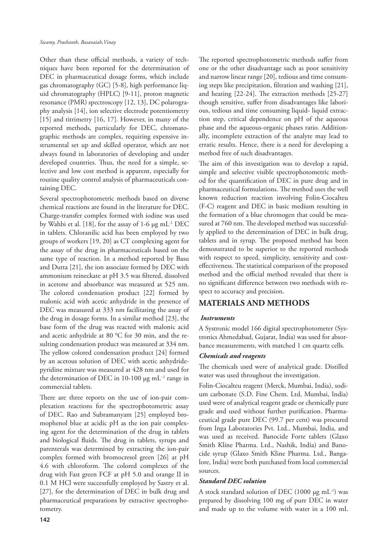Other than these official methods, a variety of techniques have been reported for the determination of DEC in pharmaceutical dosage forms, which include gas chromatography (GC) [5-8], high performance liquid chromatography (HPLC) [9-11], proton magnetic resonance (PMR) spectroscopy [12, 13], DC polarography analysis [14], ion selective electrode potentiometry [15] and titrimetry [16, 17]. However, in many of the reported methods, particularly for DEC, chromatographic methods are complex, requiring expensive instrumental set up and skilled operator, which are not always found in laboratories of developing and under developed countries. Thus, the need for a simple, selective and low cost method is apparent, especially for routine quality control analysis of pharmaceuticals containing DEC.

Several spectrophotometric methods based on diverse chemical reactions are found in the literature for DEC. Charge-transfer complex formed with iodine was used by Wahbi et al. [18], for the assay of 1-6 μg mL-1 DEC in tablets. Chloranilic acid has been employed by two groups of workers [19, 20] as CT complexing agent for the assay of the drug in pharmaceuticals based on the same type of reaction. In a method reported by Basu and Dutta [21], the ion associate formed by DEC with ammonium reineckate at pH 3.5 was filtered, dissolved in acetone and absorbance was measured at 525 nm. The colored condensation product [22] formed by malonic acid with acetic anhydride in the presence of DEC was measured at 333 nm facilitating the assay of the drug in dosage forms. In a similar method [23], the base form of the drug was reacted with malonic acid and acetic anhydride at 80  $^{\rm o}{\rm C}$  for 30 min, and the resulting condensation product was measured at 334 nm. The yellow colored condensation product [24] formed by an acetous solution of DEC with acetic anhydridepyridine mixture was measured at 428 nm and used for the determination of DEC in 10-100 μg mL–1 range in commercial tablets.

There are three reports on the use of ion-pair complexation reactions for the spectrophotometric assay of DEC. Rao and Subramanyam [25] employed bromophenol blue at acidic pH as the ion pair complexing agent for the determination of the drug in tablets and biological fluids. The drug in tablets, syrups and parenterals was determined by extracting the ion-pair complex formed with bromocresol green [26] at pH 4.6 with chloroform. The colored complexes of the drug with Fast green FCF at pH 5.0 and orange II in 0.1 M HCl were successfully employed by Sastry et al. [27], for the determination of DEC in bulk drug and pharmaceutical preparations by extractive spectrophotometry.

The reported spectrophotometric methods suffer from one or the other disadvantage such as poor sensitivity and narrow linear range [20], tedious and time consuming steps like precipitation, filtration and washing [21], and heating [22-24]. The extraction methods [25-27] though sensitive, suffer from disadvantages like laborious, tedious and time consuming liquid- liquid extraction step, critical dependence on pH of the aqueous phase and the aqueous-organic phases ratio. Additionally, incomplete extraction of the analyte may lead to erratic results. Hence, there is a need for developing a method free of such disadvantages.

The aim of this investigation was to develop a rapid, simple and selective visible spectrophotometric method for the quantification of DEC in pure drug and in pharmaceutical formulations. The method uses the well known reduction reaction involving Folin-Ciocalteu (F-C) reagent and DEC in basic medium resulting in the formation of a blue chromogen that could be measured at 760 nm. The developed method was successfully applied to the determination of DEC in bulk drug, tablets and in syrup. The proposed method has been demonstrated to be superior to the reported methods with respect to speed, simplicity, sensitivity and costeffectiveness. The statistical comparison of the proposed method and the official method revealed that there is no significant difference between two methods with respect to accuracy and precision.

# **MATERIALS AND METHODS**

## *Instruments*

A Systronic model 166 digital spectrophotometer (Systronics Ahmedabad, Gujarat, India) was used for absorbance measurements, with matched 1 cm quartz cells.

#### *Chemicals and reagents*

The chemicals used were of analytical grade. Distilled water was used throughout the investigation.

Folin-Ciocalteu reagent (Merck, Mumbai, India), sodium carbonate (S.D. Fine Chem. Ltd, Mumbai, India) used were of analytical reagent grade or chemically pure grade and used without further purification. Pharmaceutical grade pure DEC (99.7 per cent) was procured from Inga Laboratories Pvt. Ltd., Mumbai, India, and was used as received. Banocide Forte tablets (Glaxo Smith Kline Pharma. Ltd., Nashik, India) and Banocide syrup (Glaxo Smith Kline Pharma. Ltd., Bangalore, India) were both purchased from local commercial sources.

## *Standard DEC solution*

A stock standard solution of DEC (1000  $\mu$ g mL<sup>-1</sup>) was prepared by dissolving 100 mg of pure DEC in water and made up to the volume with water in a 100 mL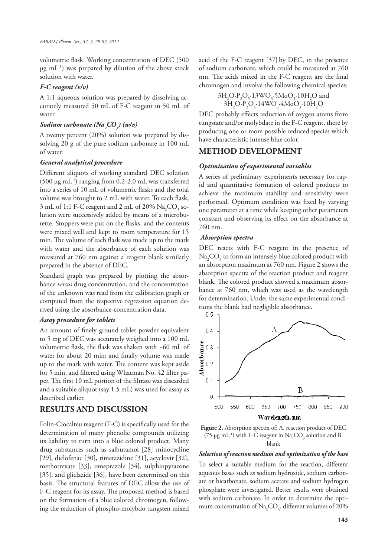volumetric flask. Working concentration of DEC (500  $\mu$ g mL<sup>-1</sup>) was prepared by dilution of the above stock solution with water.

#### *F-C reagent (v/v)*

A 1:1 aqueous solution was prepared by dissolving accurately measured 50 mL of F-C reagent in 50 mL of water.

# *Sodium carbonate (Na2 CO3 ) (w/v)*

A twenty percent (20%) solution was prepared by dissolving 20 g of the pure sodium carbonate in 100 mL of water.

## *General analytical procedure*

Different aliquots of working standard DEC solution (500  $\mu$ g mL<sup>-1</sup>) ranging from 0.2-2.0 mL was transferred into a series of 10 mL of volumetric flasks and the total volume was brought to 2 mL with water. To each flask, 3 mL of 1:1 F-C reagent and 2 mL of 20%  $\mathrm{Na_{2}CO_{_{3}}}$  solution were successively added by means of a microburette. Stoppers were put on the flasks, and the contents were mixed well and kept to room temperature for 15 min. The volume of each flask was made up to the mark with water and the absorbance of each solution was measured at 760 nm against a reagent blank similarly prepared in the absence of DEC.

Standard graph was prepared by plotting the absorbance *versus* drug concentration, and the concentration of the unknown was read from the calibration graph or computed from the respective regression equation derived using the absorbance-concentration data.

## *Assay procedure for tablets*

An amount of finely ground tablet powder equivalent to 5 mg of DEC was accurately weighed into a 100 mL volumetric flask, the flask was shaken with ~60 mL of water for about 20 min; and finally volume was made up to the mark with water. The content was kept aside for 5 min, and filtered using Whatman No. 42 filter paper. The first 10 mL portion of the filtrate was discarded and a suitable aliquot (say 1.5 mL) was used for assay as described earlier.

## **RESULTS AND DISCUSSION**

Folin-Ciocalteu reagent (F-C) is specifically used for the determination of many phenolic compounds utilizing its liability to turn into a blue colored product. Many drug substances such as salbutamol [28] minocycline [29], diclofenac [30], rimetazidine [31], acyclovir [32], methotrexate [33], omeprazole [34], sulphinpyrazone [35], and gliclazide [36], have been determined on this basis. The structural features of DEC allow the use of F-C reagent for its assay. The proposed method is based on the formation of a blue colored chromogen, following the reduction of phospho-molybdo tungsten mixed

acid of the F-C reagent [37] by DEC, in the presence of sodium carbonate, which could be measured at 760 nm. The acids mixed in the F-C reagent are the final chromogen and involve the following chemical species:

$$
\begin{array}{c} 3H_2O\cdot P_2O_5\cdot 13\text{WO}_3\cdot 5\text{MoO}_3\cdot 10H_2O \text{ and } \\ 3H_2O\cdot P_2O_5\cdot 14\text{WO}_3\cdot 4\text{MoO}_3\cdot 10H_2O \end{array}
$$

DEC probably effects reduction of oxygen atoms from tungstate and/or molybdate in the F-C reagent, there by producing one or more possible reduced species which have characteristic intense blue color.

# **METHOD DEVELOPMENT**

#### *Optimization of experimental variables*

A series of preliminary experiments necessary for rapid and quantitative formation of colored products to achieve the maximum stability and sensitivity were performed. Optimum condition was fixed by varying one parameter at a time while keeping other parameters constant and observing its effect on the absorbance at 760 nm.

#### *Absorption spectra*

DEC reacts with F-C reagent in the presence of  $\mathrm{Na_{2}CO_{_{3}}}$  to form an intensely blue colored product with an absorption maximum at 760 nm. Figure 2 shows the absorption spectra of the reaction product and reagent blank. The colored product showed a maximum absorbance at 760 nm, which was used as the wavelength for determination. Under the same experimental conditions the blank had negligible absorbance.<br> $0.5 - 1$ 





#### *Selection of reaction medium and optimization of the base*

To select a suitable medium for the reaction, different aqueous bases such as sodium hydroxide, sodium carbonate or bicarbonate, sodium acetate and sodium hydrogen phosphate were investigated. Better results were obtained with sodium carbonate. In order to determine the optimum concentration of  $\text{Na}_{2}\text{CO}_{3}$ , different volumes of 20%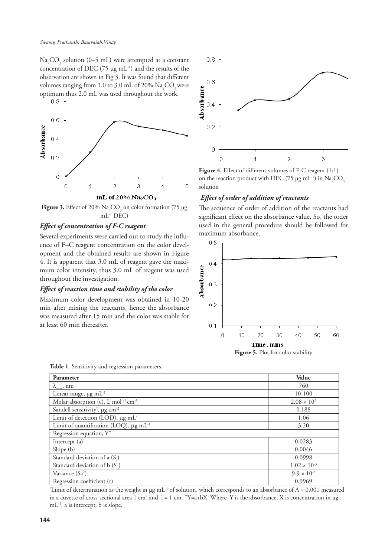$\text{Na}_2\text{CO}_3$  solution (0–5 mL) were attempted at a constant concentration of DEC (75 μg mL-1) and the results of the observation are shown in Fig 3. It was found that different volumes ranging from 1.0 to 3.0 mL of 20%  $\mathrm{Na_{2}CO_{3}}$  were optimum thus 2.0 mL was used throughout the work.<br> $0.8\text{ m}$ 



**Figure 3.** Effect of 20%  $\text{Na}_2\text{CO}_3$  on color formation (75  $\mu$ g  $mL^{-1}$  DEC)

## *Effect of concentration of F-C reagent*

Several experiments were carried out to study the influence of F–C reagent concentration on the color development and the obtained results are shown in Figure 4. It is apparent that 3.0 mL of reagent gave the maximum color intensity, thus 3.0 mL of reagent was used throughout the investigation.

## *Effect of reaction time and stability of the color*

Maximum color development was obtained in 10-20 min after mixing the reactants, hence the absorbance was measured after 15 min and the color was stable for at least 60 min thereafter.



**Figure 4.** Effect of different volumes of F-C reagent (1:1) on the reaction product with DEC (75  $\mu$ g mL<sup>-1</sup>) in Na<sub>2</sub>CO<sub>3</sub> solution

## *Effect of order of addition of reactants*

The sequence of order of addition of the reactants had significant effect on the absorbance value. So, the order used in the general procedure should be followed for maximum absorbance.



**Figure 5.** Plot for color stability

| Parameter                                                                | Value                 |
|--------------------------------------------------------------------------|-----------------------|
| $\lambda_{\text{max}}$ , nm                                              | 760                   |
| Linear range, $\mu$ g mL <sup>-1</sup>                                   | $10-100$              |
| Molar absorption ( $\varepsilon$ ), L mol <sup>-1</sup> cm <sup>-1</sup> | $2.08 \times 10^{3}$  |
| Sandell sensitivity <sup>*</sup> , µg cm <sup>-2</sup>                   | 0.188                 |
| Limit of detection (LOD), $\mu$ g mL <sup>-1</sup>                       | 1.06                  |
| Limit of quantification (LOQ), $\mu$ g mL <sup>-1</sup>                  | 3.20                  |
| Regression equation, Y**                                                 |                       |
| Intercept $(a)$                                                          | 0.0283                |
| Slope $(b)$                                                              | 0.0046                |
| Standard deviation of a (S)                                              | 0.0998                |
| Standard deviation of b (S.)                                             | $1.02 \times 10^{-3}$ |
| Variance (Sa <sup>2</sup> )                                              | $9.9 \times 10^{-3}$  |
| Regression coefficient (r)                                               | 0.9969                |

'Limit of determination as the weight in  $\mu$ g mL<sup>-1</sup> of solution, which corresponds to an absorbance of A = 0.001 measured in a cuvette of cross-sectional area 1 cm<sup>2</sup> and  $l = 1$  cm. "Y=a+bX, Where Y is the absorbance, X is concentration in µg mL-1, a is intercept, b is slope.

**Table 1**. Sensitivity and regression parameters.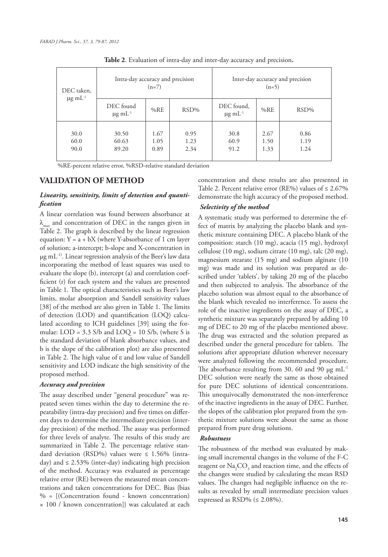| DEC taken,<br>$\mu$ g m $L^{-1}$ | Intra-day accuracy and precision<br>$(n=7)$ |                      | Inter-day accuracy and precision<br>$(n=5)$ |                                  |                      |                      |
|----------------------------------|---------------------------------------------|----------------------|---------------------------------------------|----------------------------------|----------------------|----------------------|
|                                  | DEC found<br>$\mu$ g m $L^{-1}$             | %RE                  | $RSD\%$                                     | DEC found,<br>$\mu$ g m $L^{-1}$ | %RE                  | $RSD\%$              |
| 30.0<br>60.0<br>90.0             | 30.50<br>60.63<br>89.20                     | 1.67<br>1.05<br>0.89 | 0.95<br>1.23<br>2.34                        | 30.8<br>60.9<br>91.2             | 2.67<br>1.50<br>1.33 | 0.86<br>1.19<br>1.24 |

**Table 2**. Evaluation of intra-day and inter-day accuracy and precision**.**

%RE-percent relative error, %RSD-relative standard deviation

## **VALIDATION OF METHOD**

# *Linearity, sensitivity, limits of detection and quantification*

A linear correlation was found between absorbance at  $\lambda$  and concentration of DEC in the ranges given in Table 2. The graph is described by the linear regression equation:  $Y = a + bX$  (where Y-absorbance of 1 cm layer of solution; a-intercept; b-slope and X-concentration in  $\mu$ g mL<sup>-1)</sup>. Linear regression analysis of the Beer's law data incorporating the method of least squares was used to evaluate the slope (b), intercept (a) and correlation coefficient (r) for each system and the values are presented in Table 1. The optical characteristics such as Beer's law limits, molar absorption and Sandell sensitivity values [38] of the method are also given in Table 1. The limits of detection (LOD) and quantification (LOQ) calculated according to ICH guidelines [39] using the formulae:  $LOD = 3.3$  S/b and  $LOQ = 10$  S/b, (where S is the standard deviation of blank absorbance values, and b is the slope of the calibration plot) are also presented in Table 2. The high value of ε and low value of Sandell sensitivity and LOD indicate the high sensitivity of the proposed method.

## *Accuracy and precision*

The assay described under "general procedure" was repeated seven times within the day to determine the repeatability (intra-day precision) and five times on different days to determine the intermediate precision (interday precision) of the method. The assay was performed for three levels of analyte. The results of this study are summarized in Table 2. The percentage relative standard deviation (RSD%) values were  $\leq 1.56\%$  (intraday) and  $\leq$  2.53% (inter-day) indicating high precision of the method. Accuracy was evaluated as percentage relative error (RE) between the measured mean concentrations and taken concentrations for DEC. Bias {bias  $% =$   $[$ (Concentration found - known concentration) × 100 / known concentration]} was calculated at each concentration and these results are also presented in Table 2. Percent relative error (RE%) values of  $\leq 2.67\%$ demonstrate the high accuracy of the proposed method.

## *Selectivity of the method*

A systematic study was performed to determine the effect of matrix by analyzing the placebo blank and synthetic mixture containing DEC. A placebo blank of the composition: starch (10 mg), acacia (15 mg), hydroxyl cellulose (10 mg), sodium citrate (10 mg), talc (20 mg), magnesium stearate (15 mg) and sodium alginate (10 mg) was made and its solution was prepared as described under 'tablets', by taking 20 mg of the placebo and then subjected to analysis. The absorbance of the placebo solution was almost equal to the absorbance of the blank which revealed no interference. To assess the role of the inactive ingredients on the assay of DEC, a synthetic mixture was separately prepared by adding 10 mg of DEC to 20 mg of the placebo mentioned above. The drug was extracted and the solution prepared as described under the general procedure for tablets. The solutions after appropriate dilution wherever necessary were analyzed following the recommended procedure. The absorbance resulting from 30, 60 and 90  $\mu$ g mL<sup>-1</sup> DEC solution were nearly the same as those obtained for pure DEC solutions of identical concentrations. This unequivocally demonstrated the non-interference of the inactive ingredients in the assay of DEC. Further, the slopes of the calibration plot prepared from the synthetic mixture solutions were about the same as those prepared from pure drug solutions.

#### *Robustness*

The robustness of the method was evaluated by making small incremental changes in the volume of the F-C reagent or  $\mathrm{Na_{2}CO_{_{3}}}$  and reaction time, and the effects of the changes were studied by calculating the mean RSD values. The changes had negligible influence on the results as revealed by small intermediate precision values expressed as  $\text{RSD}\%$  ( $\leq 2.08\%$ ).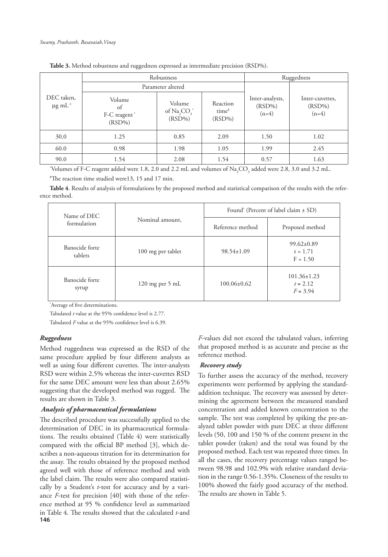| DEC taken,<br>$\mu$ g m $L^{-1}$ |                                           | Robustness                                 | Ruggedness                                 |                                         |                                         |
|----------------------------------|-------------------------------------------|--------------------------------------------|--------------------------------------------|-----------------------------------------|-----------------------------------------|
|                                  | Parameter altered                         |                                            |                                            |                                         |                                         |
|                                  | Volume<br>of<br>F-C reagent*<br>$(RSD\%)$ | Volume<br>of $Na_{2}CO_{3}^*$<br>$(RSD\%)$ | Reaction<br>time <sup>#</sup><br>$(RSD\%)$ | Inter-analysts,<br>$(RSD\%)$<br>$(n=4)$ | Inter-cuvettes,<br>$(RSD\%)$<br>$(n=4)$ |
| 30.0                             | 1.25                                      | 0.85                                       | 2.09                                       | 1.50                                    | 1.02                                    |
| 60.0                             | 0.98                                      | 1.98                                       | 1.05                                       | 1.99                                    | 2.45                                    |
| 90.0                             | 1.54                                      | 2.08                                       | 1.54                                       | 0.57                                    | 1.63                                    |

**Table 3.** Method robustness and ruggedness expressed as intermediate precision (RSD%).

"Volumes of F-C reagent added were 1.8, 2.0 and 2.2 mL and volumes of  $\text{Na}_2\text{CO}_3$  added were 2.8, 3.0 and 3.2 mL. # The reaction time studied were13, 15 and 17 min.

**Table 4**. Results of analysis of formulations by the proposed method and statistical comparison of the results with the reference method.

| Name of DEC<br>formulation | Nominal amount,   | Found" (Percent of label claim ± SD) |                                               |  |
|----------------------------|-------------------|--------------------------------------|-----------------------------------------------|--|
|                            |                   | Reference method                     | Proposed method                               |  |
| Banocide forte<br>tablets  | 100 mg per tablet | $98.54 \pm 1.09$                     | $99.62 \pm 0.89$<br>$t = 1.71$<br>$F = 1.50$  |  |
| Banocide forte<br>syrup    | 120 mg per 5 mL   | $100.06\pm0.62$                      | $101.36 \pm 1.23$<br>$t = 2.12$<br>$F = 3.94$ |  |

\* Average of five determinations.

Tabulated *t* value at the 95% confidence level is 2.77.

Tabulated *F* value at the 95% confidence level is 6.39.

#### *Ruggedness*

Method ruggedness was expressed as the RSD of the same procedure applied by four different analysts as well as using four different cuvettes. The inter-analysts RSD were within 2.5% whereas the inter-cuvettes RSD for the same DEC amount were less than about 2.65% suggesting that the developed method was rugged. The results are shown in Table 3.

#### *Analysis of pharmaceutical formulations*

**146** The described procedure was successfully applied to the determination of DEC in its pharmaceutical formulations. The results obtained (Table 4) were statistically compared with the official BP method [3], which describes a non-aqueous titration for its determination for the assay. The results obtained by the proposed method agreed well with those of reference method and with the label claim. The results were also compared statistically by a Student's *t*-test for accuracy and by a variance *F*-test for precision [40] with those of the reference method at 95 % confidence level as summarized in Table 4. The results showed that the calculated *t*-and

*F*-values did not exceed the tabulated values, inferring that proposed method is as accurate and precise as the reference method.

#### *Recovery study*

To further assess the accuracy of the method, recovery experiments were performed by applying the standardaddition technique. The recovery was assessed by determining the agreement between the measured standard concentration and added known concentration to the sample. The test was completed by spiking the pre-analyzed tablet powder with pure DEC at three different levels (50, 100 and 150 % of the content present in the tablet powder (taken) and the total was found by the proposed method. Each test was repeated three times. In all the cases, the recovery percentage values ranged between 98.98 and 102.9% with relative standard deviation in the range 0.56-1.35%. Closeness of the results to 100% showed the fairly good accuracy of the method. The results are shown in Table 5.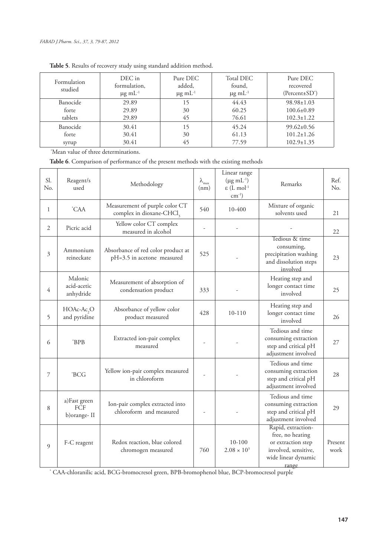| Formulation<br>studied | DEC in<br>formulation,<br>$\mu$ g m $L^{-1}$ | Pure DEC<br>added,<br>$\mu$ g m $L^{-1}$ | Total DEC<br>found,<br>$\mu$ g m $L^{-1}$ | Pure DEC<br>recovered<br>$(Percent \pm SD^*)$ |
|------------------------|----------------------------------------------|------------------------------------------|-------------------------------------------|-----------------------------------------------|
| Banocide               | 29.89                                        | 15                                       | 44.43                                     | $98.98 \pm 1.03$                              |
| forte                  | 29.89                                        | 30                                       | 60.25                                     | $100.6 \pm 0.89$                              |
| tablets                | 29.89                                        | 45                                       | 76.61                                     | $102.3 \pm 1.22$                              |
| Banocide               | 30.41                                        | 15                                       | 45.24                                     | $99.62 \pm 0.56$                              |
| forte                  | 30.41                                        | 30                                       | 61.13                                     | $101.2 \pm 1.26$                              |
| syrup                  | 30.41                                        | 45                                       | 77.59                                     | $102.9 \pm 1.35$                              |

# **Table 5**. Results of recovery study using standard addition method.

\*Mean value of three determinations.

**Table 6**. Comparison of performance of the present methods with the existing methods

| Sl.<br>N <sub>o</sub> . | Reagent/s<br>used                          | Methodology                                                            | $\lambda_{\rm max}$<br>(nm) | Linear range<br>$(\mu g \text{ mL}^{-1})$<br>$\epsilon$ (L mol <sup>-1</sup><br>$cm^{-1}$ ) | Remarks                                                                                                              | Ref.<br>N <sub>o</sub> |
|-------------------------|--------------------------------------------|------------------------------------------------------------------------|-----------------------------|---------------------------------------------------------------------------------------------|----------------------------------------------------------------------------------------------------------------------|------------------------|
| 1                       | <i>CAA</i>                                 | Measurement of purple color CT<br>complex in dioxane-CHCl <sub>3</sub> | 540                         | 10-400                                                                                      | Mixture of organic<br>solvents used                                                                                  | 21                     |
| 2                       | Picric acid                                | Yellow color CT complex<br>measured in alcohol                         |                             |                                                                                             |                                                                                                                      | 22                     |
| 3                       | Ammonium<br>reineckate                     | Absorbance of red color product at<br>pH=3.5 in acetone measured       | 525                         |                                                                                             | Tedious & time<br>consuming,<br>precipitation washing<br>and dissolution steps<br>involved                           | 23                     |
| 4                       | Malonic<br>acid-acetic<br>anhydride        | Measurement of absorption of<br>condensation product                   | 333                         |                                                                                             | Heating step and<br>longer contact time<br>involved                                                                  | 25                     |
| 5                       | HOAc-Ac <sub>2</sub> O<br>and pyridine     | Absorbance of yellow color<br>product measured                         | 428                         | $10 - 110$                                                                                  | Heating step and<br>longer contact time<br>involved                                                                  | 26                     |
| 6                       | BPB                                        | Extracted ion-pair complex<br>measured                                 |                             |                                                                                             | Tedious and time<br>consuming extraction<br>step and critical pH<br>adjustment involved                              | 27                     |
| 7                       | ${}^{\ast}$ BCG                            | Yellow ion-pair complex measured<br>in chloroform                      |                             |                                                                                             | Tedious and time<br>consuming extraction<br>step and critical pH<br>adjustment involved                              | 28                     |
| 8                       | a)Fast green<br><b>FCF</b><br>b) orange-II | Ion-pair complex extracted into<br>chloroform and measured             |                             |                                                                                             | Tedious and time<br>consuming extraction<br>step and critical pH<br>adjustment involved                              | 29                     |
| $\mathfrak{g}$          | F-C reagent                                | Redox reaction, blue colored<br>chromogen measured                     | 760                         | $10-100$<br>$2.08 \times 10^{3}$                                                            | Rapid, extraction-<br>free, no heating<br>or extraction step<br>involved, sensitive,<br>wide linear dynamic<br>range | Present<br>work        |

range \* CAA-chloranilic acid, BCG-bromocresol green, BPB-bromophenol blue, BCP-bromocresol purple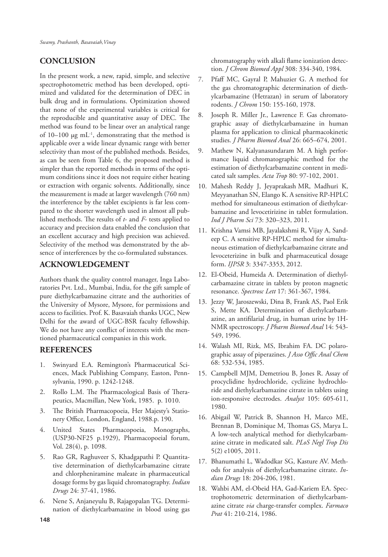# **CONCLUSION**

In the present work, a new, rapid, simple, and selective spectrophotometric method has been developed, optimized and validated for the determination of DEC in bulk drug and in formulations. Optimization showed that none of the experimental variables is critical for the reproducible and quantitative assay of DEC. The method was found to be linear over an analytical range of  $10-100 \mu g$  mL<sup>-1</sup>, demonstrating that the method is applicable over a wide linear dynamic range with better selectivity than most of the published methods. Besides, as can be seen from Table 6, the proposed method is simpler than the reported methods in terms of the optimum conditions since it does not require either heating or extraction with organic solvents. Additionally, since the measurement is made at larger wavelength (760 nm) the interference by the tablet excipients is far less compared to the shorter wavelength used in almost all published methods. The results of *t*- and *F*- tests applied to accuracy and precision data enabled the conclusion that an excellent accuracy and high precision was achieved. Selectivity of the method was demonstrated by the absence of interferences by the co-formulated substances.

# **ACKNOWLEDGEMENT**

Authors thank the quality control manager, Inga Laboratories Pvt. Ltd., Mumbai, India, for the gift sample of pure diethylcarbamazine citrate and the authorities of the University of Mysore, Mysore, for permissions and access to facilities. Prof. K. Basavaiah thanks UGC, New Delhi for the award of UGC-BSR faculty fellowship. We do not have any conflict of interests with the mentioned pharmaceutical companies in this work.

## **REFERENCES**

- 1. Swinyard E.A. Remington's Pharmaceutical Sciences, Mack Publishing Company, Easton, Pennsylvania, 1990. p. 1242-1248.
- 2. Rollo L.M. The Pharmacological Basis of Therapeutics, Macmillan, New York, 1985. p. 1010.
- 3. The British Pharmacopoeia, Her Majesty's Stationery Office, London, England, 1988.p. 190.
- 4. United States Pharmacopoeia, Monographs, (USP30-NF25 p.1929), Pharmacopoeial forum, Vol. 28(4), p. 1098.
- 5. Rao GR, Raghuveer S, Khadgapathi P. Quantitative determination of diethylcarbamazine citrate and chlorpheniramine maleate in pharmaceutical dosage forms by gas liquid chromatography. *Indian Drugs* 24: 37-41, 1986.
- 6. Nene S, Anjaneyulu B, Rajagopalan TG. Determination of diethylcarbamazine in blood using gas

chromatography with alkali flame ionization detection. *J Chrom Biomed Appl* 308: 334-340, 1984.

- 7. Pfaff MC, Gayral P, Mahuzier G. A method for the gas chromatographic determination of diethylcarbamazine (Hetrazan) in serum of laboratory rodents. *J Chrom* 150: 155-160, 1978.
- 8. Joseph R. Miller Jr., Lawrence F. Gas chromatographic assay of diethylcarbamazine in human plasma for application to clinical pharmacokinetic studies. *J Pharm Biomed Anal* 26: 665–674, 2001.
- 9. Mathew N, Kalyanasundaram M. A high performance liquid chromatographic method for the estimation of diethylcarbamazine content in medicated salt samples. *Acta Trop* 80: 97-102, 2001.
- 10. Mahesh Reddy J, Jeyaprakash MR, Madhuri K, Meyyanathan SN, Elango K. A sensitive RP-HPLC method for simultaneous estimation of diethylcarbamazine and levocetirizine in tablet formulation. *Ind J Pharm Sci* 73: 320–323, 2011.
- 11. Krishna Vamsi MB, Jayalakshmi R, Vijay A, Sandeep C. A sensitive RP-HPLC method for simultaneous estimation of diethylcarbamazine citrate and levoceterizine in bulk and pharmaceutical dosage form. *IJPSR* 3: 3347-3353, 2012.
- 12. El-Obeid, Humeida A. Determination of diethylcarbamazine citrate in tablets by proton magnetic resonance. *Spectrosc Lett* 17: 361-367, 1984.
- 13. Jezzy W, Jaroszewski, Dina B, Frank AS, Paol Erik S, Mette KA. Determination of diethylcarbamazine, an antifilarial drug, in human urine by 1H-NMR spectroscopy. *J Pharm Biomed Anal* 14: 543- 549, 1996.
- 14. Walash MI, Rizk, MS, Ibrahim FA. DC polarographic assay of piperazines. *J Asso Offic Anal Chem* 68: 532-534, 1985.
- 15. Campbell MJM, Demetriou B, Jones R. Assay of procyclidine hydrochloride, cyclizine hydrochloride and diethylcarbamazine citrate in tablets using ion-responsive electrodes. *Analyst* 105: 605-611, 1980.
- 16. Abigail W, Patrick B, Shannon H, Marco ME, Brennan B, Dominique M, Thomas GS, Marya L. A low-tech analytical method for diethylcarbamazine citrate in medicated salt. *PLoS Negl Trop Dis*  5(2) e1005, 2011.
- 17. Bhanumathi L, Wadodkar SG, Kasture AV. Methods for analysis of diethylcarbamazine citrate. *Indian Drugs* 18: 204-206, 1981.
- 18. Wahbi AM, el-Obeid HA, Gad-Kariem EA. Spectrophotometric determination of diethylcarbamazine citrate *via* charge-transfer complex. *Farmaco Prat* 41: 210-214, 1986.